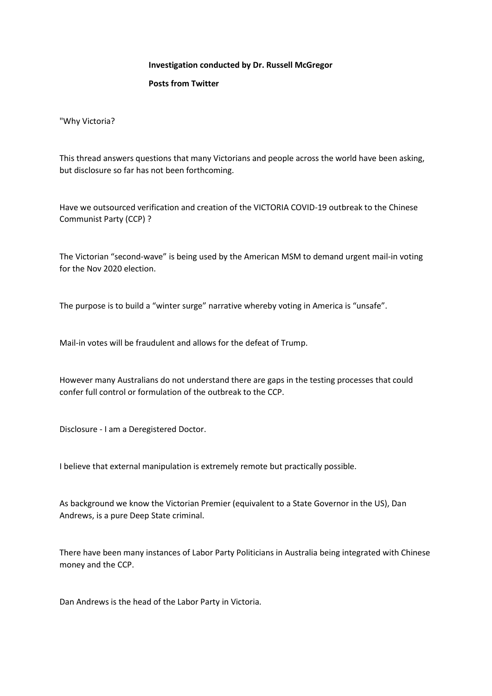## **Investigation conducted by Dr. Russell McGregor**

## **Posts from Twitter**

"Why Victoria?

This thread answers questions that many Victorians and people across the world have been asking, but disclosure so far has not been forthcoming.

Have we outsourced verification and creation of the VICTORIA COVID-19 outbreak to the Chinese Communist Party (CCP) ?

The Victorian "second-wave" is being used by the American MSM to demand urgent mail-in voting for the Nov 2020 election.

The purpose is to build a "winter surge" narrative whereby voting in America is "unsafe".

Mail-in votes will be fraudulent and allows for the defeat of Trump.

However many Australians do not understand there are gaps in the testing processes that could confer full control or formulation of the outbreak to the CCP.

Disclosure - I am a Deregistered Doctor.

I believe that external manipulation is extremely remote but practically possible.

As background we know the Victorian Premier (equivalent to a State Governor in the US), Dan Andrews, is a pure Deep State criminal.

There have been many instances of Labor Party Politicians in Australia being integrated with Chinese money and the CCP.

Dan Andrews is the head of the Labor Party in Victoria.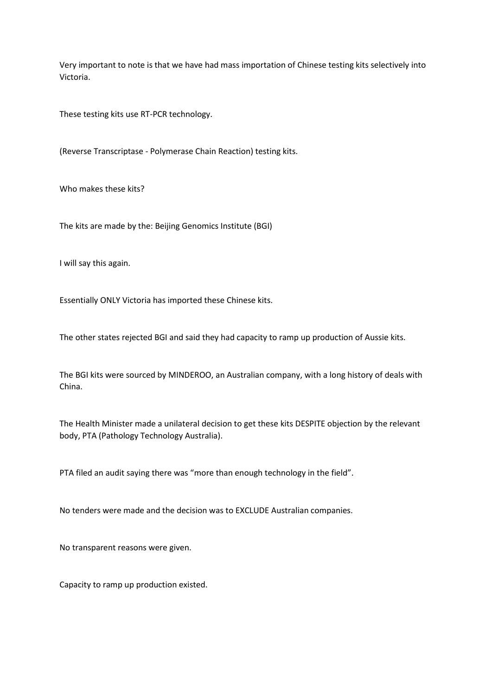Very important to note is that we have had mass importation of Chinese testing kits selectively into Victoria.

These testing kits use RT-PCR technology.

(Reverse Transcriptase - Polymerase Chain Reaction) testing kits.

Who makes these kits?

The kits are made by the: Beijing Genomics Institute (BGI)

I will say this again.

Essentially ONLY Victoria has imported these Chinese kits.

The other states rejected BGI and said they had capacity to ramp up production of Aussie kits.

The BGI kits were sourced by MINDEROO, an Australian company, with a long history of deals with China.

The Health Minister made a unilateral decision to get these kits DESPITE objection by the relevant body, PTA (Pathology Technology Australia).

PTA filed an audit saying there was "more than enough technology in the field".

No tenders were made and the decision was to EXCLUDE Australian companies.

No transparent reasons were given.

Capacity to ramp up production existed.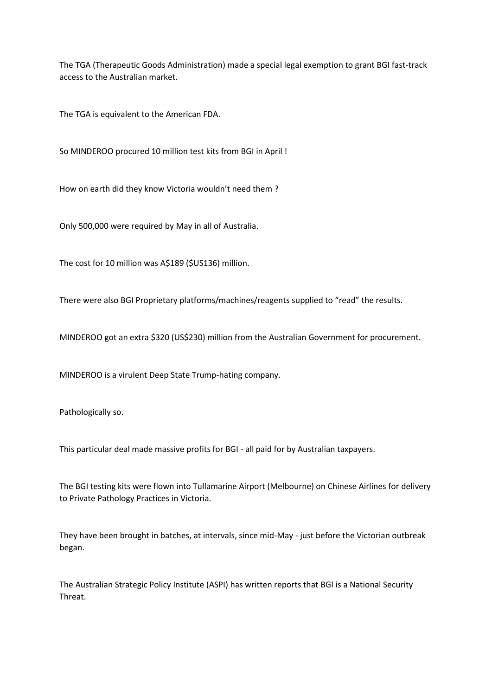The TGA (Therapeutic Goods Administration) made a special legal exemption to grant BGI fast-track access to the Australian market.

The TGA is equivalent to the American FDA.

So MINDEROO procured 10 million test kits from BGI in April !

How on earth did they know Victoria wouldn't need them ?

Only 500,000 were required by May in all of Australia.

The cost for 10 million was A\$189 (\$US136) million.

There were also BGI Proprietary platforms/machines/reagents supplied to "read" the results.

MINDEROO got an extra \$320 (US\$230) million from the Australian Government for procurement.

MINDEROO is a virulent Deep State Trump-hating company.

Pathologically so.

This particular deal made massive profits for BGI - all paid for by Australian taxpayers.

The BGI testing kits were flown into Tullamarine Airport (Melbourne) on Chinese Airlines for delivery to Private Pathology Practices in Victoria.

They have been brought in batches, at intervals, since mid-May - just before the Victorian outbreak began.

The Australian Strategic Policy Institute (ASPI) has written reports that BGI is a National Security Threat.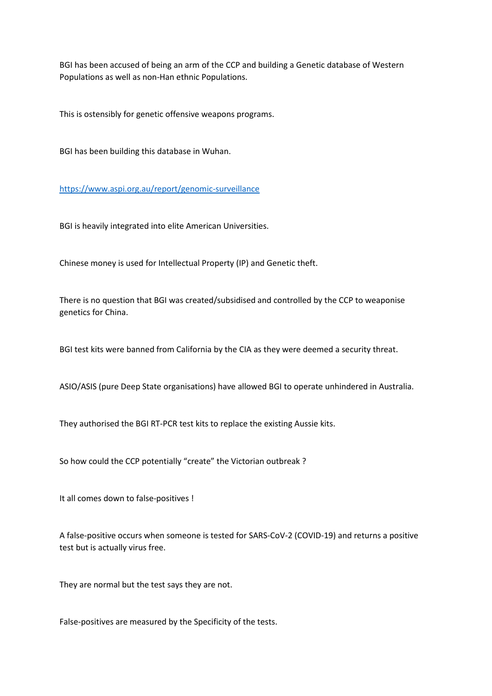BGI has been accused of being an arm of the CCP and building a Genetic database of Western Populations as well as non-Han ethnic Populations.

This is ostensibly for genetic offensive weapons programs.

BGI has been building this database in Wuhan.

<https://www.aspi.org.au/report/genomic-surveillance>

BGI is heavily integrated into elite American Universities.

Chinese money is used for Intellectual Property (IP) and Genetic theft.

There is no question that BGI was created/subsidised and controlled by the CCP to weaponise genetics for China.

BGI test kits were banned from California by the CIA as they were deemed a security threat.

ASIO/ASIS (pure Deep State organisations) have allowed BGI to operate unhindered in Australia.

They authorised the BGI RT-PCR test kits to replace the existing Aussie kits.

So how could the CCP potentially "create" the Victorian outbreak ?

It all comes down to false-positives !

A false-positive occurs when someone is tested for SARS-CoV-2 (COVID-19) and returns a positive test but is actually virus free.

They are normal but the test says they are not.

False-positives are measured by the Specificity of the tests.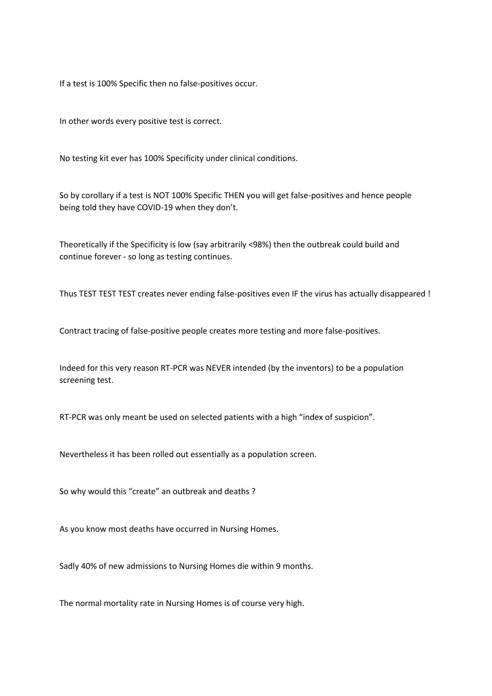If a test is 100% Specific then no false-positives occur.

In other words every positive test is correct.

No testing kit ever has 100% Specificity under clinical conditions.

So by corollary if a test is NOT 100% Specific THEN you will get false-positives and hence people being told they have COVID-19 when they don't.

Theoretically if the Specificity is low (say arbitrarily <98%) then the outbreak could build and continue forever - so long as testing continues.

Thus TEST TEST TEST creates never ending false-positives even IF the virus has actually disappeared !

Contract tracing of false-positive people creates more testing and more false-positives.

Indeed for this very reason RT-PCR was NEVER intended (by the inventors) to be a population screening test.

RT-PCR was only meant be used on selected patients with a high "index of suspicion".

Nevertheless it has been rolled out essentially as a population screen.

So why would this "create" an outbreak and deaths ?

As you know most deaths have occurred in Nursing Homes.

Sadly 40% of new admissions to Nursing Homes die within 9 months.

The normal mortality rate in Nursing Homes is of course very high.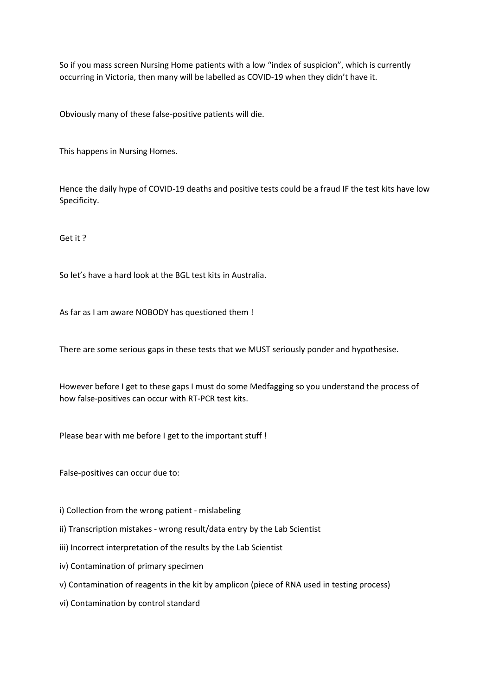So if you mass screen Nursing Home patients with a low "index of suspicion", which is currently occurring in Victoria, then many will be labelled as COVID-19 when they didn't have it.

Obviously many of these false-positive patients will die.

This happens in Nursing Homes.

Hence the daily hype of COVID-19 deaths and positive tests could be a fraud IF the test kits have low Specificity.

Get it ?

So let's have a hard look at the BGL test kits in Australia.

As far as I am aware NOBODY has questioned them !

There are some serious gaps in these tests that we MUST seriously ponder and hypothesise.

However before I get to these gaps I must do some Medfagging so you understand the process of how false-positives can occur with RT-PCR test kits.

Please bear with me before I get to the important stuff !

False-positives can occur due to:

i) Collection from the wrong patient - mislabeling

ii) Transcription mistakes - wrong result/data entry by the Lab Scientist

iii) Incorrect interpretation of the results by the Lab Scientist

iv) Contamination of primary specimen

v) Contamination of reagents in the kit by amplicon (piece of RNA used in testing process)

vi) Contamination by control standard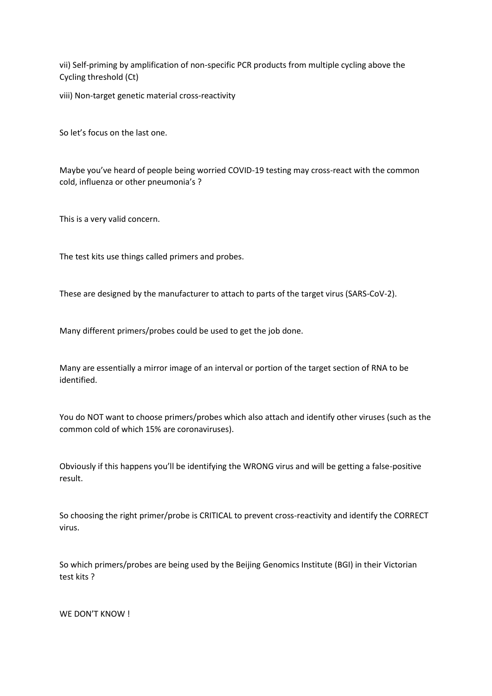vii) Self-priming by amplification of non-specific PCR products from multiple cycling above the Cycling threshold (Ct)

viii) Non-target genetic material cross-reactivity

So let's focus on the last one.

Maybe you've heard of people being worried COVID-19 testing may cross-react with the common cold, influenza or other pneumonia's ?

This is a very valid concern.

The test kits use things called primers and probes.

These are designed by the manufacturer to attach to parts of the target virus (SARS-CoV-2).

Many different primers/probes could be used to get the job done.

Many are essentially a mirror image of an interval or portion of the target section of RNA to be identified.

You do NOT want to choose primers/probes which also attach and identify other viruses (such as the common cold of which 15% are coronaviruses).

Obviously if this happens you'll be identifying the WRONG virus and will be getting a false-positive result.

So choosing the right primer/probe is CRITICAL to prevent cross-reactivity and identify the CORRECT virus.

So which primers/probes are being used by the Beijing Genomics Institute (BGI) in their Victorian test kits ?

WE DON'T KNOW !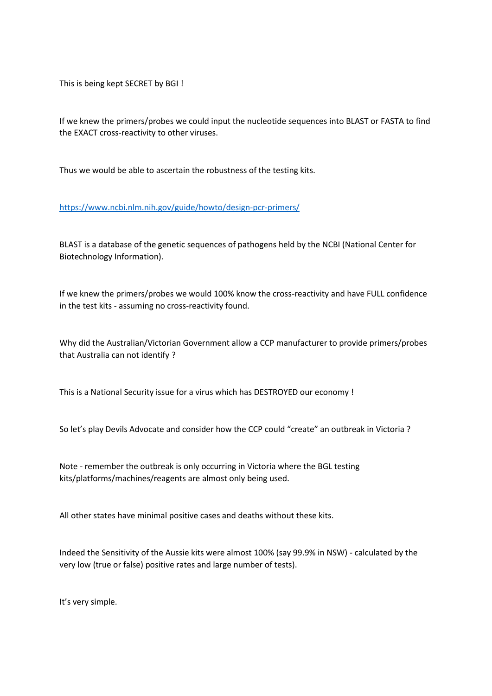This is being kept SECRET by BGI !

If we knew the primers/probes we could input the nucleotide sequences into BLAST or FASTA to find the EXACT cross-reactivity to other viruses.

Thus we would be able to ascertain the robustness of the testing kits.

## <https://www.ncbi.nlm.nih.gov/guide/howto/design-pcr-primers/>

BLAST is a database of the genetic sequences of pathogens held by the NCBI (National Center for Biotechnology Information).

If we knew the primers/probes we would 100% know the cross-reactivity and have FULL confidence in the test kits - assuming no cross-reactivity found.

Why did the Australian/Victorian Government allow a CCP manufacturer to provide primers/probes that Australia can not identify ?

This is a National Security issue for a virus which has DESTROYED our economy !

So let's play Devils Advocate and consider how the CCP could "create" an outbreak in Victoria ?

Note - remember the outbreak is only occurring in Victoria where the BGL testing kits/platforms/machines/reagents are almost only being used.

All other states have minimal positive cases and deaths without these kits.

Indeed the Sensitivity of the Aussie kits were almost 100% (say 99.9% in NSW) - calculated by the very low (true or false) positive rates and large number of tests).

It's very simple.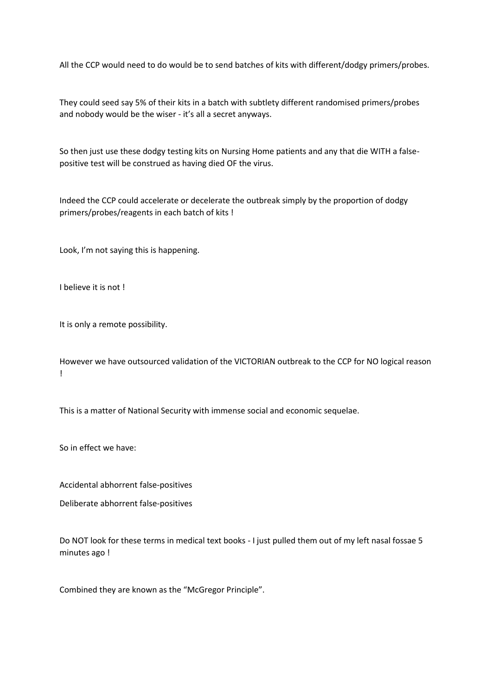All the CCP would need to do would be to send batches of kits with different/dodgy primers/probes.

They could seed say 5% of their kits in a batch with subtlety different randomised primers/probes and nobody would be the wiser - it's all a secret anyways.

So then just use these dodgy testing kits on Nursing Home patients and any that die WITH a falsepositive test will be construed as having died OF the virus.

Indeed the CCP could accelerate or decelerate the outbreak simply by the proportion of dodgy primers/probes/reagents in each batch of kits !

Look, I'm not saying this is happening.

I believe it is not !

It is only a remote possibility.

However we have outsourced validation of the VICTORIAN outbreak to the CCP for NO logical reason !

This is a matter of National Security with immense social and economic sequelae.

So in effect we have:

Accidental abhorrent false-positives

Deliberate abhorrent false-positives

Do NOT look for these terms in medical text books - I just pulled them out of my left nasal fossae 5 minutes ago !

Combined they are known as the "McGregor Principle".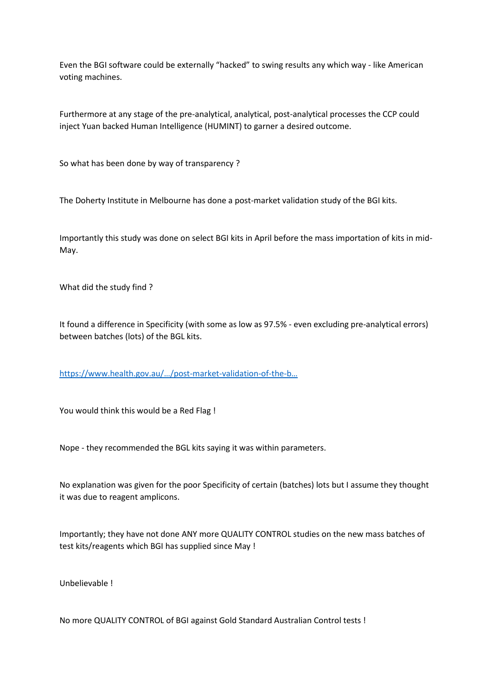Even the BGI software could be externally "hacked" to swing results any which way - like American voting machines.

Furthermore at any stage of the pre-analytical, analytical, post-analytical processes the CCP could inject Yuan backed Human Intelligence (HUMINT) to garner a desired outcome.

So what has been done by way of transparency ?

The Doherty Institute in Melbourne has done a post-market validation study of the BGI kits.

Importantly this study was done on select BGI kits in April before the mass importation of kits in mid-May.

What did the study find ?

It found a difference in Specificity (with some as low as 97.5% - even excluding pre-analytical errors) between batches (lots) of the BGL kits.

https://www.health.gov.au/…/post[-market-validation-of-the-](https://www.health.gov.au/…/post-market-validation-of-the-b…)b…

You would think this would be a Red Flag !

Nope - they recommended the BGL kits saying it was within parameters.

No explanation was given for the poor Specificity of certain (batches) lots but I assume they thought it was due to reagent amplicons.

Importantly; they have not done ANY more QUALITY CONTROL studies on the new mass batches of test kits/reagents which BGI has supplied since May !

Unbelievable !

No more QUALITY CONTROL of BGI against Gold Standard Australian Control tests !